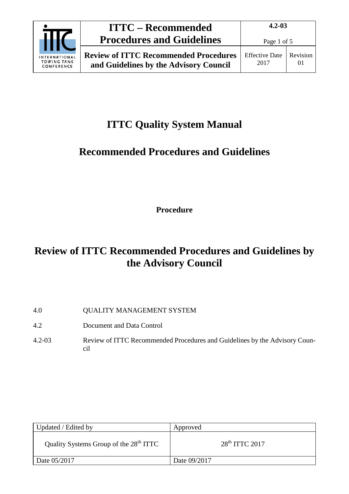|                                                          | <b>ITTC – Recommended</b>                                                              |                               | $4.2 - 0.3$    |  |  |
|----------------------------------------------------------|----------------------------------------------------------------------------------------|-------------------------------|----------------|--|--|
|                                                          | <b>Procedures and Guidelines</b>                                                       | Page 1 of 5                   |                |  |  |
| <b>INTERNATIONAL</b><br><b>TOWING TANK</b><br>CONFERENCE | <b>Review of ITTC Recommended Procedures</b><br>and Guidelines by the Advisory Council | <b>Effective Date</b><br>2017 | Revision<br>01 |  |  |

## **ITTC Quality System Manual**

## **Recommended Procedures and Guidelines**

**Procedure**

## **Review of ITTC Recommended Procedures and Guidelines by the Advisory Council**

- 4.0 QUALITY MANAGEMENT SYSTEM
- 4.2 Document and Data Control
- 4.2-03 Review of ITTC Recommended Procedures and Guidelines by the Advisory Council

| Updated / Edited by                                | Approved         |
|----------------------------------------------------|------------------|
| Quality Systems Group of the 28 <sup>th</sup> ITTC | $28th$ ITTC 2017 |
| Date 05/2017                                       | Date 09/2017     |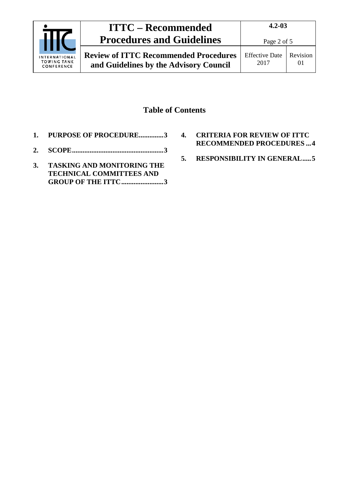

### **Table of Contents**

- **1. [PURPOSE OF PROCEDURE..............3](#page-2-0)**
- **2. [SCOPE....................................................3](#page-2-1)**
- **3. [TASKING AND MONITORING THE](#page-2-2)  [TECHNICAL COMMITTEES](#page-2-2) AND [GROUP OF THE ITTC........................3](#page-2-2)**
- **4. [CRITERIA FOR REVIEW OF ITTC](#page-3-0)  [RECOMMENDED PROCEDURES](#page-3-0) ...4**
- **5. [RESPONSIBILITY IN GENERAL.....5](#page-4-0)**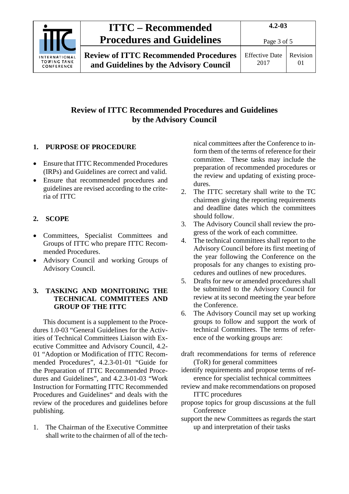

**Review of ITTC Recommended Procedures and Guidelines by the Advisory Council**

### **Review of ITTC Recommended Procedures and Guidelines by the Advisory Council**

### <span id="page-2-0"></span>**1. PURPOSE OF PROCEDURE**

- Ensure that ITTC Recommended Procedures (IRPs) and Guidelines are correct and valid.
- Ensure that recommended procedures and guidelines are revised according to the criteria of ITTC

#### <span id="page-2-1"></span>**2. SCOPE**

- Committees, Specialist Committees and Groups of ITTC who prepare ITTC Recommended Procedures.
- Advisory Council and working Groups of Advisory Council.

#### <span id="page-2-2"></span>**3. TASKING AND MONITORING THE TECHNICAL COMMITTEES AND GROUP OF THE ITTC**

This document is a supplement to the Procedures 1.0-03 "General Guidelines for the Activities of Technical Committees Liaison with Executive Committee and Advisory Council, 4.2- 01 "Adoption or Modification of ITTC Recommended Procedures", 4.2.3-01-01 "Guide for the Preparation of ITTC Recommended Procedures and Guidelines", and 4.2.3-01-03 "Work Instruction for Formatting ITTC Recommended Procedures and Guidelines" and deals with the review of the procedures and guidelines before publishing.

1. The Chairman of the Executive Committee shall write to the chairmen of all of the technical committees after the Conference to inform them of the terms of reference for their committee. These tasks may include the preparation of recommended procedures or the review and updating of existing procedures.

- 2. The ITTC secretary shall write to the TC chairmen giving the reporting requirements and deadline dates which the committees should follow.
- 3. The Advisory Council shall review the progress of the work of each committee.
- 4. The technical committees shall report to the Advisory Council before its first meeting of the year following the Conference on the proposals for any changes to existing procedures and outlines of new procedures.
- 5. Drafts for new or amended procedures shall be submitted to the Advisory Council for review at its second meeting the year before the Conference.
- 6. The Advisory Council may set up working groups to follow and support the work of technical Committees. The terms of reference of the working groups are:
- draft recommendations for terms of reference (ToR) for general committees
- identify requirements and propose terms of reference for specialist technical committees
- review and make recommendations on proposed ITTC procedures
- propose topics for group discussions at the full Conference
- support the new Committees as regards the start up and interpretation of their tasks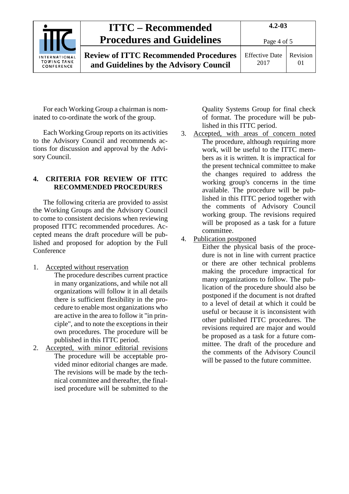

**4.2-03**

**Review of ITTC Recommended Procedures and Guidelines by the Advisory Council**

Page 4 of 5

Effective Date 2017

Revision 01

For each Working Group a chairman is nominated to co-ordinate the work of the group.

Each Working Group reports on its activities to the Advisory Council and recommends actions for discussion and approval by the Advisory Council.

#### <span id="page-3-0"></span>**4. CRITERIA FOR REVIEW OF ITTC RECOMMENDED PROCEDURES**

The following criteria are provided to assist the Working Groups and the Advisory Council to come to consistent decisions when reviewing proposed ITTC recommended procedures. Accepted means the draft procedure will be published and proposed for adoption by the Full **Conference** 

1. Accepted without reservation

The procedure describes current practice in many organizations, and while not all organizations will follow it in all details there is sufficient flexibility in the procedure to enable most organizations who are active in the area to follow it "in principle", and to note the exceptions in their own procedures. The procedure will be published in this ITTC period.

2. Accepted, with minor editorial revisions The procedure will be acceptable provided minor editorial changes are made. The revisions will be made by the technical committee and thereafter, the finalised procedure will be submitted to the Quality Systems Group for final check of format. The procedure will be published in this ITTC period.

3. Accepted, with areas of concern noted The procedure, although requiring more work, will be useful to the ITTC members as it is written. It is impractical for the present technical committee to make the changes required to address the working group's concerns in the time available. The procedure will be published in this ITTC period together with the comments of Advisory Council working group. The revisions required will be proposed as a task for a future committee.

### 4. Publication postponed

Either the physical basis of the procedure is not in line with current practice or there are other technical problems making the procedure impractical for many organizations to follow. The publication of the procedure should also be postponed if the document is not drafted to a level of detail at which it could be useful or because it is inconsistent with other published ITTC procedures. The revisions required are major and would be proposed as a task for a future committee. The draft of the procedure and the comments of the Advisory Council will be passed to the future committee.